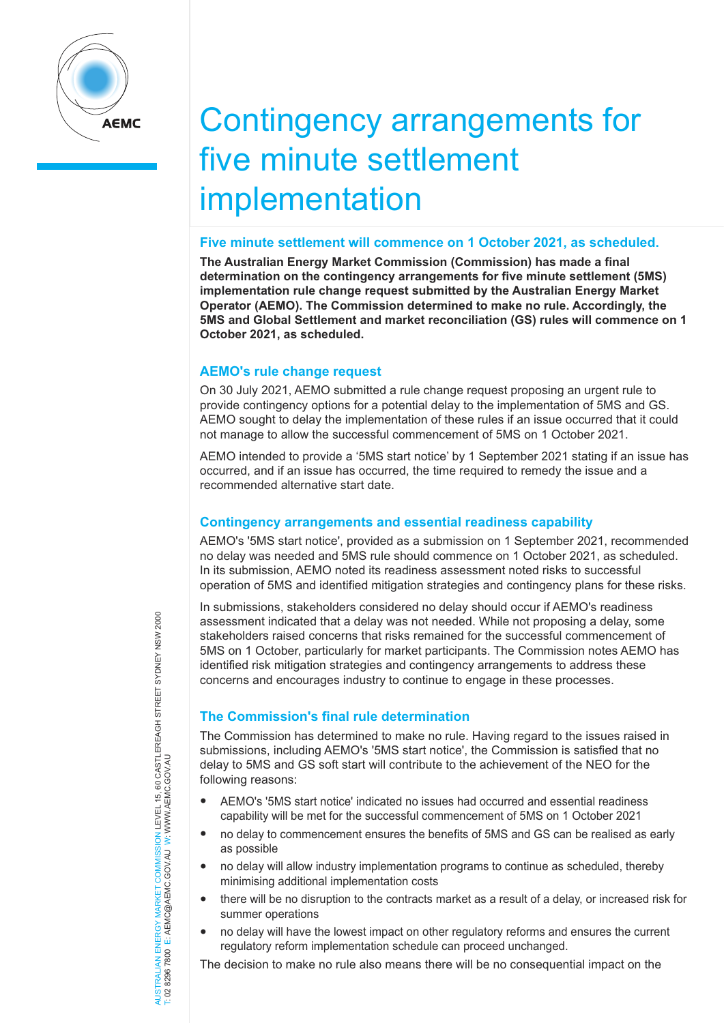

# Contingency arrangements for five minute settlement implementation

#### **Five minute settlement will commence on 1 October 2021, as scheduled.**

**The Australian Energy Market Commission (Commission) has made a final determination on the contingency arrangements for five minute settlement (5MS) implementation rule change request submitted by the Australian Energy Market Operator (AEMO). The Commission determined to make no rule. Accordingly, the 5MS and Global Settlement and market reconciliation (GS) rules will commence on 1 October 2021, as scheduled.**

### **AEMO's rule change request**

On 30 July 2021, AEMO submitted a rule change request proposing an urgent rule to provide contingency options for a potential delay to the implementation of 5MS and GS. AEMO sought to delay the implementation of these rules if an issue occurred that it could not manage to allow the successful commencement of 5MS on 1 October 2021.

AEMO intended to provide a '5MS start notice' by 1 September 2021 stating if an issue has occurred, and if an issue has occurred, the time required to remedy the issue and a recommended alternative start date.

## **Contingency arrangements and essential readiness capability**

AEMO's '5MS start notice', provided as a submission on 1 September 2021, recommended no delay was needed and 5MS rule should commence on 1 October 2021, as scheduled. In its submission, AEMO noted its readiness assessment noted risks to successful operation of 5MS and identified mitigation strategies and contingency plans for these risks.

In submissions, stakeholders considered no delay should occur if AEMO's readiness assessment indicated that a delay was not needed. While not proposing a delay, some stakeholders raised concerns that risks remained for the successful commencement of 5MS on 1 October, particularly for market participants. The Commission notes AEMO has identified risk mitigation strategies and contingency arrangements to address these concerns and encourages industry to continue to engage in these processes.

## **The Commission's final rule determination**

The Commission has determined to make no rule. Having regard to the issues raised in submissions, including AEMO's '5MS start notice', the Commission is satisfied that no delay to 5MS and GS soft start will contribute to the achievement of the NEO for the following reasons:

- AEMO's '5MS start notice' indicated no issues had occurred and essential readiness capability will be met for the successful commencement of 5MS on 1 October 2021
- no delay to commencement ensures the benefits of 5MS and GS can be realised as early as possible
- no delay will allow industry implementation programs to continue as scheduled, thereby minimising additional implementation costs
- there will be no disruption to the contracts market as a result of a delay, or increased risk for summer operations
- no delay will have the lowest impact on other regulatory reforms and ensures the current regulatory reform implementation schedule can proceed unchanged.

The decision to make no rule also means there will be no consequential impact on the

JERGY MARKET COMMISSION LEVEL 15, 60 CASTLEREAGH STREET SYDNEY NSW 2000<br>E: AEMC@AEMC.GOV.AU W: WWW.AEMC.GOV.AU AUSTRALIAN ENERGY MARKET COMMISSION LEVEL 15, 60 CASTLEREAGH STREET SYDNEY NSW 2000 T: 02 8296 7800 E: AEMC@AEMC.GOV.AU W: WWW.AEMC.GOV.AU AUSTRALIAN ENERGY MARKET T: 02 8296 7800